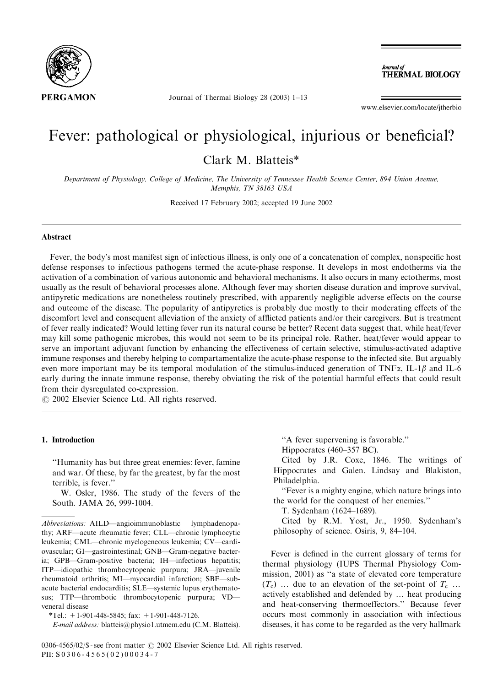

Journal of Thermal Biology 28 (2003) 1–13

Journal of **THERMAL BIOLOGY** 

www.elsevier.com/locate/jtherbio

# Fever: pathological or physiological, injurious or beneficial?

Clark M. Blatteis\*

Department of Physiology, College of Medicine, The University of Tennessee Health Science Center, 894 Union Avenue, Memphis, TN 38163 USA

Received 17 February 2002; accepted 19 June 2002

## Abstract

Fever, the body's most manifest sign of infectious illness, is only one of a concatenation of complex, nonspecific host defense responses to infectious pathogens termed the acute-phase response. It develops in most endotherms via the activation of a combination of various autonomic and behavioral mechanisms. It also occurs in many ectotherms, most usually as the result of behavioral processes alone. Although fever may shorten disease duration and improve survival, antipyretic medications are nonetheless routinely prescribed, with apparently negligible adverse effects on the course and outcome of the disease. The popularity of antipyretics is probably due mostly to their moderating effects of the discomfort level and consequent alleviation of the anxiety of afflicted patients and/or their caregivers. But is treatment of fever really indicated? Would letting fever run its natural course be better? Recent data suggest that, while heat/fever may kill some pathogenic microbes, this would not seem to be its principal role. Rather, heat/fever would appear to serve an important adjuvant function by enhancing the effectiveness of certain selective, stimulus-activated adaptive immune responses and thereby helping to compartamentalize the acute-phase response to the infected site. But arguably even more important may be its temporal modulation of the stimulus-induced generation of TNF $\alpha$ , IL-1 $\beta$  and IL-6 early during the innate immune response, thereby obviating the risk of the potential harmful effects that could result from their dysregulated co-expression.

 $\odot$  2002 Elsevier Science Ltd. All rights reserved.

# 1. Introduction

''Humanity has but three great enemies: fever,famine and war. Of these, by far the greatest, by far the most terrible, is fever."

W. Osler, 1986. The study of the fevers of the South. JAMA 26, 999-1004.

E-mail address: blatteis@physio1.utmem.edu (C.M. Blatteis).

''A fever supervening is favorable.''

Hippocrates (460–357 BC).

Cited by J.R. Coxe,1846. The writings of Hippocrates and Galen. Lindsay and Blakiston, Philadelphia.

''Fever is a mighty engine,which nature brings into the world for the conquest of her enemies.''

T. Sydenham (1624–1689).

Cited by R.M. Yost, Jr., 1950. Sydenham's philosophy of science. Osiris,9,84–104.

Fever is defined in the current glossary of terms for thermal physiology (IUPS Thermal Physiology Commission,2001) as ''a state of elevated core temperature  $(T_c)$  ... due to an elevation of the set-point of  $T_c$  ... actively established and defended by ... heat producing and heat-conserving thermoeffectors.'' Because fever occurs most commonly in association with infectious diseases,it has come to be regarded as the very hallmark

Abbreviations: AILD—angioimmunoblastic lymphadenopathy; ARF—acute rheumatic fever; CLL—chronic lymphocytic leukemia; CML—chronic myelogeneous leukemia; CV—cardiovascular; GI—gastrointestinal; GNB—Gram-negative bacteria; GPB—Gram-positive bacteria; IH—infectious hepatitis; ITP—idiopathic thrombocytopenic purpura; JRA—juvenile rheumatoid arthritis; MI—myocardial infarction; SBE—subacute bacterial endocarditis; SLE—systemic lupus erythematosus; TTP—thrombotic thrombocytopenic purpura; VD veneral disease

<sup>\*</sup>Tel.:  $+1-901-448-5845$ ; fax:  $+1-901-448-7126$ .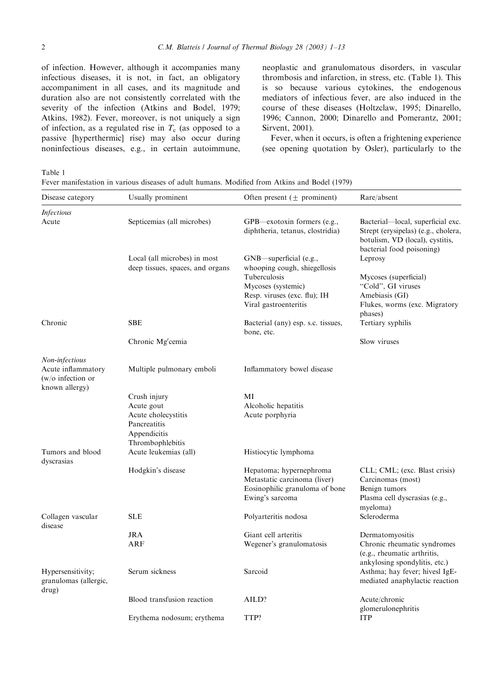of infection. However, although it accompanies many infectious diseases, it is not, in fact, an obligatory accompaniment in all cases, and its magnitude and duration also are not consistently correlated with the severity of the infection (Atkins and Bodel, 1979; Atkins, 1982). Fever, moreover, is not uniquely a sign of infection, as a regulated rise in  $T_c$  (as opposed to a passive [hyperthermic] rise) may also occur during noninfectious diseases, e.g., in certain autoimmune, neoplastic and granulomatous disorders, in vascular thrombosis and infarction, in stress, etc. (Table 1). This is so because various cytokines, the endogenous mediators of infectious fever, are also induced in the course of these diseases (Holtzclaw,1995; Dinarello, 1996; Cannon,2000; Dinarello and Pomerantz,2001; Sirvent, 2001).

Fever, when it occurs, is often a frightening experience (see opening quotation by Osler), particularly to the

Table 1

| Fever manifestation in various diseases of adult humans. Modified from Atkins and Bodel (1979) |  |  |  |
|------------------------------------------------------------------------------------------------|--|--|--|
|------------------------------------------------------------------------------------------------|--|--|--|

| Disease category                                                               | Usually prominent                                                                                     | Often present $(\pm$ prominent)                                                                                                                       | Rare/absent                                                                                                                                       |  |
|--------------------------------------------------------------------------------|-------------------------------------------------------------------------------------------------------|-------------------------------------------------------------------------------------------------------------------------------------------------------|---------------------------------------------------------------------------------------------------------------------------------------------------|--|
| <b>Infectious</b><br>Acute                                                     | Septicemias (all microbes)                                                                            | GPB-exotoxin formers (e.g.,<br>diphtheria, tetanus, clostridia)                                                                                       | Bacterial-local, superficial exc.<br>Strept (erysipelas) (e.g., cholera,<br>botulism, VD (local), cystitis,                                       |  |
|                                                                                | Local (all microbes) in most<br>deep tissues, spaces, and organs                                      | GNB-superficial (e.g.,<br>whooping cough, shiegellosis<br>Tuberculosis<br>Mycoses (systemic)<br>Resp. viruses (exc. flu); IH<br>Viral gastroenteritis | bacterial food poisoning)<br>Leprosy<br>Mycoses (superficial)<br>"Cold", GI viruses<br>Amebiasis (GI)<br>Flukes, worms (exc. Migratory<br>phases) |  |
| Chronic                                                                        | <b>SBE</b>                                                                                            | Bacterial (any) esp. s.c. tissues,<br>bone, etc.                                                                                                      | Tertiary syphilis                                                                                                                                 |  |
|                                                                                | Chronic Mg'cemia                                                                                      |                                                                                                                                                       | Slow viruses                                                                                                                                      |  |
| Non-infectious<br>Acute inflammatory<br>$(w/o)$ infection or<br>known allergy) | Multiple pulmonary emboli                                                                             | Inflammatory bowel disease                                                                                                                            |                                                                                                                                                   |  |
|                                                                                | Crush injury<br>Acute gout<br>Acute cholecystitis<br>Pancreatitis<br>Appendicitis<br>Thrombophlebitis | MI<br>Alcoholic hepatitis<br>Acute porphyria                                                                                                          |                                                                                                                                                   |  |
| Tumors and blood                                                               | Acute leukemias (all)                                                                                 | Histiocytic lymphoma                                                                                                                                  |                                                                                                                                                   |  |
| dyscrasias                                                                     | Hodgkin's disease                                                                                     | Hepatoma; hypernephroma<br>Metastatic carcinoma (liver)<br>Eosinophilic granuloma of bone<br>Ewing's sarcoma                                          | CLL; CML; (exc. Blast crisis)<br>Carcinomas (most)<br>Benign tumors<br>Plasma cell dyscrasias (e.g.,<br>myeloma)                                  |  |
| Collagen vascular                                                              | <b>SLE</b>                                                                                            | Polyarteritis nodosa                                                                                                                                  | Scleroderma                                                                                                                                       |  |
| disease                                                                        | <b>JRA</b><br>ARF                                                                                     | Giant cell arteritis<br>Wegener's granulomatosis                                                                                                      | Dermatomyositis<br>Chronic rheumatic syndromes<br>(e.g., rheumatic arthritis,                                                                     |  |
| Hypersensitivity;<br>granulomas (allergic,<br>drug)                            | Serum sickness                                                                                        | Sarcoid                                                                                                                                               | ankylosing spondylitis, etc.)<br>Asthma; hay fever; hivesl IgE-<br>mediated anaphylactic reaction                                                 |  |
|                                                                                | Blood transfusion reaction                                                                            | AILD?                                                                                                                                                 | Acute/chronic<br>glomerulonephritis                                                                                                               |  |
|                                                                                | Erythema nodosum; erythema                                                                            | TTP?                                                                                                                                                  | <b>ITP</b>                                                                                                                                        |  |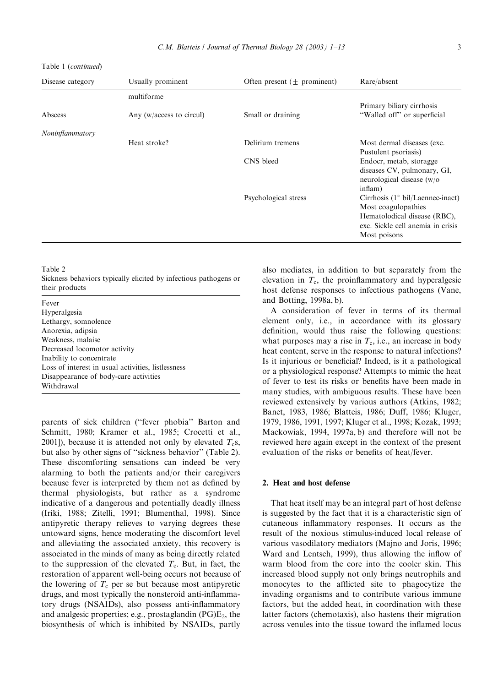Table 1 (continued)

| Disease category | Usually prominent            | Often present $(\pm$ prominent) | Rare/absent                                                                                    |
|------------------|------------------------------|---------------------------------|------------------------------------------------------------------------------------------------|
|                  | multiforme                   |                                 |                                                                                                |
| Abscess          | Any ( $w/a$ ccess to circul) | Small or draining               | Primary biliary cirrhosis<br>"Walled off" or superficial                                       |
| Noninflammatory  |                              |                                 |                                                                                                |
|                  | Heat stroke?                 | Delirium tremens                | Most dermal diseases (exc.                                                                     |
|                  |                              |                                 | Pustulent psoriasis)                                                                           |
|                  |                              | CNS bleed                       | Endocr, metab, storagge<br>diseases CV, pulmonary, GI,<br>neurological disease (w/o<br>inflam) |
|                  |                              | Psychological stress            | Cirrhosis $(1^{\circ}$ bil/Laennec-inact)                                                      |
|                  |                              |                                 | Most coagulopathies                                                                            |
|                  |                              |                                 | Hematolodical disease (RBC),                                                                   |
|                  |                              |                                 | exc. Sickle cell anemia in crisis                                                              |
|                  |                              |                                 | Most poisons                                                                                   |

### Table 2

Sickness behaviors typically elicited by infectious pathogens or their products

Fever Hyperalgesia Lethargy, somnolence Anorexia, adipsia Weakness, malaise Decreased locomotor activity Inability to concentrate Loss of interest in usual activities, listlessness Disappearance of body-care activities Withdrawal

parents of sick children (''fever phobia'' Barton and Schmitt, 1980; Kramer et al., 1985; Crocetti et al., 2001]), because it is attended not only by elevated  $T_c$ s, but also by other signs of ''sickness behavior'' (Table 2). These discomforting sensations can indeed be very alarming to both the patients and/or their caregivers because fever is interpreted by them not as defined by thermal physiologists, but rather as a syndrome indicative of a dangerous and potentially deadly illness (Iriki,1988; Zitelli,1991; Blumenthal,1998). Since antipyretic therapy relieves to varying degrees these untoward signs, hence moderating the discomfort level and alleviating the associated anxiety, this recovery is associated in the minds of many as being directly related to the suppression of the elevated  $T_c$ . But, in fact, the restoration of apparent well-being occurs not because of the lowering of  $T_c$  per se but because most antipyretic drugs, and most typically the nonsteroid anti-inflammatory drugs (NSAIDs), also possess anti-inflammatory and analgesic properties; e.g., prostaglandin  $(PG)E<sub>2</sub>$ , the biosynthesis of which is inhibited by NSAIDs, partly

also mediates, in addition to but separately from the elevation in  $T_c$ , the proinflammatory and hyperalgesic host defense responses to infectious pathogens (Vane, and Botting,1998a,b).

A consideration of fever in terms of its thermal element only, i.e., in accordance with its glossary definition,would thus raise the following questions: what purposes may a rise in  $T_c$ , i.e., an increase in body heat content, serve in the response to natural infections? Is it injurious or beneficial? Indeed, is it a pathological or a physiological response? Attempts to mimic the heat of fever to test its risks or benefits have been made in many studies, with ambiguous results. These have been reviewed extensively by various authors (Atkins,1982; Banet,1983,1986; Blatteis,1986; Duff,1986; Kluger, 1979,1986,1991,1997; Kluger et al.,1998; Kozak,1993; Mackowiak,1994,1997a,b) and therefore will not be reviewed here again except in the context of the present evaluation of the risks or benefits of heat/fever.

# 2. Heat and host defense

That heat itself may be an integral part of host defense is suggested by the fact that it is a characteristic sign of cutaneous inflammatory responses. It occurs as the result of the noxious stimulus-induced local release of various vasodilatory mediators (Majno and Joris,1996; Ward and Lentsch, 1999), thus allowing the inflow of warm blood from the core into the cooler skin. This increased blood supply not only brings neutrophils and monocytes to the afflicted site to phagocytize the invading organisms and to contribute various immune factors, but the added heat, in coordination with these latter factors (chemotaxis), also hastens their migration across venules into the tissue toward the inflamed locus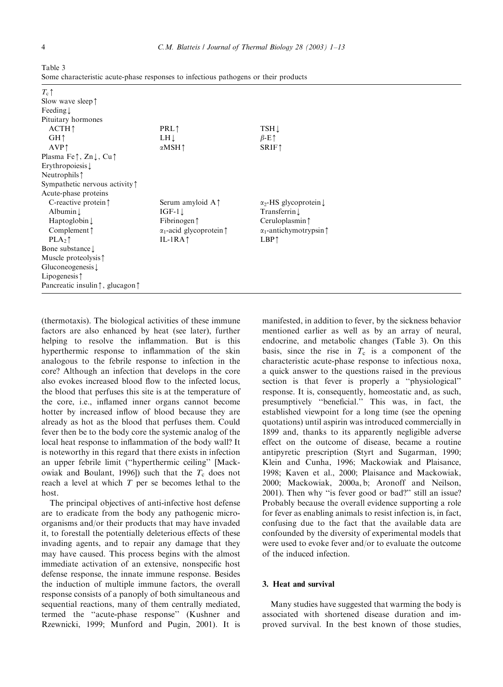| Table 3                                                                             |  |
|-------------------------------------------------------------------------------------|--|
| Some characteristic acute-phase responses to infectious pathogens or their products |  |

| $T_c \uparrow$                 |                                          |                                          |
|--------------------------------|------------------------------------------|------------------------------------------|
| Slow wave sleep $\uparrow$     |                                          |                                          |
| Feeding $\downarrow$           |                                          |                                          |
| Pituitary hormones             |                                          |                                          |
| ACTH <sub>1</sub>              | <b>PRL1</b>                              | <b>TSH</b> J                             |
| GH <sup>†</sup>                | LH <sub>J</sub>                          | $\beta$ -E $\uparrow$                    |
| AVP <sup>†</sup>               | $\alpha$ MSH $\uparrow$                  | SRIF <sub>1</sub>                        |
| Plasma Fe↑, Zn↓, Cu↑           |                                          |                                          |
| Erythropoiesis $\downarrow$    |                                          |                                          |
| Neutrophils $\uparrow$         |                                          |                                          |
| Sympathetic nervous activity?  |                                          |                                          |
| Acute-phase proteins           |                                          |                                          |
| C-reactive protein $\uparrow$  | Serum amyloid A ↑                        | $\alpha_2$ -HS glycoprotein $\downarrow$ |
| Albumin L                      | $IGF-1$                                  | Transferrin Į                            |
| Haptoglobin $\downarrow$       | Fibrinogen ↑                             | Ceruloplasmin ↑                          |
| Complement ↑                   | $\alpha_1$ -acid glycoprotein $\uparrow$ | $\alpha_1$ -antichymotrypsin $\uparrow$  |
| $PLA_2$ <sup>↑</sup>           | IL-1RA $\uparrow$                        | LBP <sub>1</sub>                         |
| Bone substance                 |                                          |                                          |
| Muscle proteolysis $\uparrow$  |                                          |                                          |
| Glucone ogenesis $\downarrow$  |                                          |                                          |
| Lipogenesis $\uparrow$         |                                          |                                          |
| Pancreatic insulin↑, glucagon↑ |                                          |                                          |

(thermotaxis). The biological activities of these immune factors are also enhanced by heat (see later), further helping to resolve the inflammation. But is this hyperthermic response to inflammation of the skin analogous to the febrile response to infection in the core? Although an infection that develops in the core also evokes increased blood flow to the infected locus, the blood that perfuses this site is at the temperature of the core, i.e., inflamed inner organs cannot become hotter by increased inflow of blood because they are already as hot as the blood that perfuses them. Could fever then be to the body core the systemic analog of the local heat response to inflammation of the body wall? It is noteworthy in this regard that there exists in infection an upper febrile limit (''hyperthermic ceiling'' [Mackowiak and Boulant, 1996]) such that the  $T_c$  does not reach a level at which  $T$  per se becomes lethal to the host.

The principal objectives of anti-infective host defense are to eradicate from the body any pathogenic microorganisms and/or their products that may have invaded it, to forestall the potentially deleterious effects of these invading agents, and to repair any damage that they may have caused. This process begins with the almost immediate activation of an extensive, nonspecific host defense response, the innate immune response. Besides the induction of multiple immune factors, the overall response consists of a panoply of both simultaneous and sequential reactions, many of them centrally mediated, termed the ''acute-phase response'' (Kushner and Rzewnicki,1999; Munford and Pugin,2001). It is

manifested, in addition to fever, by the sickness behavior mentioned earlier as well as by an array of neural, endocrine, and metabolic changes (Table 3). On this basis, since the rise in  $T_c$  is a component of the characteristic acute-phase response to infectious noxa, a quick answer to the questions raised in the previous section is that fever is properly a ''physiological'' response. It is, consequently, homeostatic and, as such, presumptively "beneficial." This was, in fact, the established viewpoint for a long time (see the opening quotations) until aspirin was introduced commercially in 1899 and, thanks to its apparently negligible adverse effect on the outcome of disease, became a routine antipyretic prescription (Styrt and Sugarman,1990; Klein and Cunha,1996; Mackowiak and Plaisance, 1998; Kaven et al., 2000; Plaisance and Mackowiak, 2000; Mackowiak,2000a,b; Aronoff and Neilson, 2001). Then why ''is fever good or bad?'' still an issue? Probably because the overall evidence supporting a role for fever as enabling animals to resist infection is, in fact, confusing due to the fact that the available data are confounded by the diversity of experimental models that were used to evoke fever and/or to evaluate the outcome of the induced infection.

## 3. Heat and survival

Many studies have suggested that warming the body is associated with shortened disease duration and improved survival. In the best known of those studies,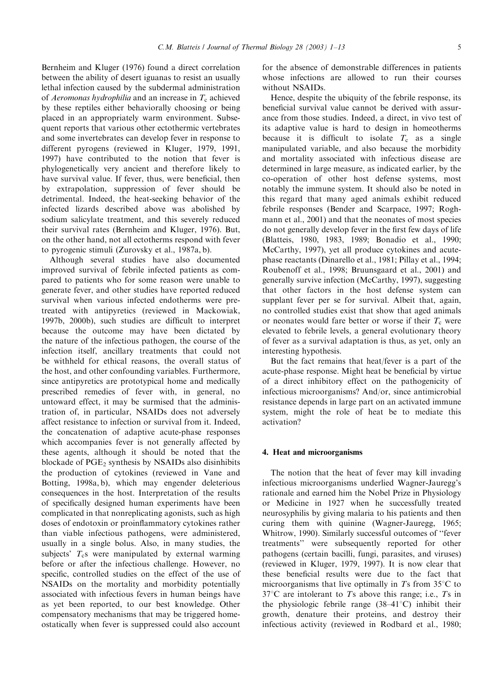Bernheim and Kluger (1976) found a direct correlation between the ability of desert iguanas to resist an usually lethal infection caused by the subdermal administration of Aeromonas hydrophilia and an increase in  $T_c$  achieved by these reptiles either behaviorally choosing or being placed in an appropriately warm environment. Subsequent reports that various other ectothermic vertebrates and some invertebrates can develop fever in response to different pyrogens (reviewed in Kluger, 1979, 1991, 1997) have contributed to the notion that fever is phylogenetically very ancient and therefore likely to have survival value. If fever, thus, were beneficial, then by extrapolation, suppression of fever should be detrimental. Indeed, the heat-seeking behavior of the infected lizards described above was abolished by sodium salicylate treatment, and this severely reduced their survival rates (Bernheim and Kluger,1976). But, on the other hand, not all ectotherms respond with fever to pyrogenic stimuli (Zurovsky et al.,1987a,b).

Although several studies have also documented improved survival of febrile infected patients as compared to patients who for some reason were unable to generate fever, and other studies have reported reduced survival when various infected endotherms were pretreated with antipyretics (reviewed in Mackowiak, 1997b, 2000b), such studies are difficult to interpret because the outcome may have been dictated by the nature of the infectious pathogen, the course of the infection itself, ancillary treatments that could not be withheld for ethical reasons, the overall status of the host,and other confounding variables. Furthermore, since antipyretics are prototypical home and medically prescribed remedies of fever with, in general, no untoward effect, it may be surmised that the administration of, in particular, NSAIDs does not adversely affect resistance to infection or survival from it. Indeed, the concatenation of adaptive acute-phase responses which accompanies fever is not generally affected by these agents, although it should be noted that the blockade of PGE<sub>2</sub> synthesis by NSAIDs also disinhibits the production of cytokines (reviewed in Vane and Botting, 1998a, b), which may engender deleterious consequences in the host. Interpretation of the results of specifically designed human experiments have been complicated in that nonreplicating agonists, such as high doses of endotoxin or proinflammatory cytokines rather than viable infectious pathogens, were administered, usually in a single bolus. Also, in many studies, the subjects'  $T_c$ s were manipulated by external warming before or after the infectious challenge. However, no specific, controlled studies on the effect of the use of NSAIDs on the mortality and morbidity potentially associated with infectious fevers in human beings have as yet been reported, to our best knowledge. Other compensatory mechanisms that may be triggered homeostatically when fever is suppressed could also account for the absence of demonstrable differences in patients whose infections are allowed to run their courses without NSAIDs.

Hence, despite the ubiquity of the febrile response, its beneficial survival value cannot be derived with assurance from those studies. Indeed, a direct, in vivo test of its adaptive value is hard to design in homeotherms because it is difficult to isolate  $T_c$  as a single manipulated variable, and also because the morbidity and mortality associated with infectious disease are determined in large measure, as indicated earlier, by the co-operation of other host defense systems, most notably the immune system. It should also be noted in this regard that many aged animals exhibit reduced febrile responses (Bender and Scarpace,1997; Roghmann et al., 2001) and that the neonates of most species do not generally develop fever in the first few days of life (Blatteis,1980,1983,1989; Bonadio et al.,1990; McCarthy, 1997), yet all produce cytokines and acutephase reactants (Dinarello et al.,1981; Pillay et al.,1994; Roubenoff et al.,1998; Bruunsgaard et al.,2001) and generally survive infection (McCarthy, 1997), suggesting that other factors in the host defense system can supplant fever per se for survival. Albeit that, again, no controlled studies exist that show that aged animals or neonates would fare better or worse if their  $T_c$  were elevated to febrile levels, a general evolutionary theory of fever as a survival adaptation is thus, as yet, only an interesting hypothesis.

But the fact remains that heat/fever is a part of the acute-phase response. Might heat be beneficial by virtue of a direct inhibitory effect on the pathogenicity of infectious microorganisms? And/or, since antimicrobial resistance depends in large part on an activated immune system, might the role of heat be to mediate this activation?

#### 4. Heat and microorganisms

The notion that the heat of fever may kill invading infectious microorganisms underlied Wagner-Jauregg's rationale and earned him the Nobel Prize in Physiology or Medicine in 1927 when he successfully treated neurosyphilis by giving malaria to his patients and then curing them with quinine (Wagner-Jauregg, 1965; Whitrow,1990). Similarly successful outcomes of ''fever treatments'' were subsequently reported for other pathogens (certain bacilli, fungi, parasites, and viruses) (reviewed in Kluger,1979,1997). It is now clear that these beneficial results were due to the fact that microorganisms that live optimally in  $T_s$  from 35 $\degree$ C to  $37^{\circ}$ C are intolerant to Ts above this range; i.e., Ts in the physiologic febrile range  $(38-41^{\circ}C)$  inhibit their growth, denature their proteins, and destroy their infectious activity (reviewed in Rodbard et al.,1980;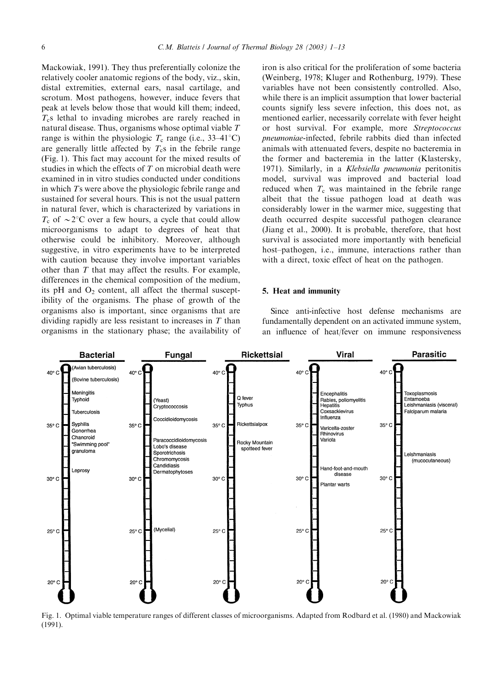Mackowiak,1991). They thus preferentially colonize the relatively cooler anatomic regions of the body, viz., skin, distal extremities, external ears, nasal cartilage, and scrotum. Most pathogens, however, induce fevers that peak at levels below those that would kill them; indeed,  $T<sub>c</sub>$ s lethal to invading microbes are rarely reached in natural disease. Thus, organisms whose optimal viable  $T$ range is within the physiologic  $T_c$  range (i.e., 33–41<sup>o</sup>C) are generally little affected by  $T_c$ s in the febrile range (Fig. 1). This fact may account for the mixed results of studies in which the effects of  $T$  on microbial death were examined in in vitro studies conducted under conditions in which Ts were above the physiologic febrile range and sustained for several hours. This is not the usual pattern in natural fever, which is characterized by variations in  $T_c$  of  $\sim$  2°C over a few hours, a cycle that could allow microorganisms to adapt to degrees of heat that otherwise could be inhibitory. Moreover, although suggestive, in vitro experiments have to be interpreted with caution because they involve important variables other than  $T$  that may affect the results. For example, differences in the chemical composition of the medium, its pH and  $O<sub>2</sub>$  content, all affect the thermal susceptibility of the organisms. The phase of growth of the organisms also is important, since organisms that are dividing rapidly are less resistant to increases in  $T$  than organisms in the stationary phase; the availability of iron is also critical for the proliferation of some bacteria (Weinberg,1978; Kluger and Rothenburg,1979). These variables have not been consistently controlled. Also, while there is an implicit assumption that lower bacterial counts signify less severe infection, this does not, as mentioned earlier, necessarily correlate with fever height or host survival. For example, more Streptococcus pneumoniae-infected, febrile rabbits died than infected animals with attenuated fevers, despite no bacteremia in the former and bacteremia in the latter (Klastersky, 1971). Similarly, in a Klebsiella pneumonia peritonitis model, survival was improved and bacterial load reduced when  $T_c$  was maintained in the febrile range albeit that the tissue pathogen load at death was considerably lower in the warmer mice, suggesting that death occurred despite successful pathogen clearance (Jiang et al., 2000). It is probable, therefore, that host survival is associated more importantly with beneficial host–pathogen, i.e., immune, interactions rather than with a direct, toxic effect of heat on the pathogen.

### 5. Heat and immunity

Since anti-infective host defense mechanisms are fundamentally dependent on an activated immune system, an influence of heat/fever on immune responsiveness



Fig. 1. Optimal viable temperature ranges of different classes of microorganisms. Adapted from Rodbard et al. (1980) and Mackowiak (1991).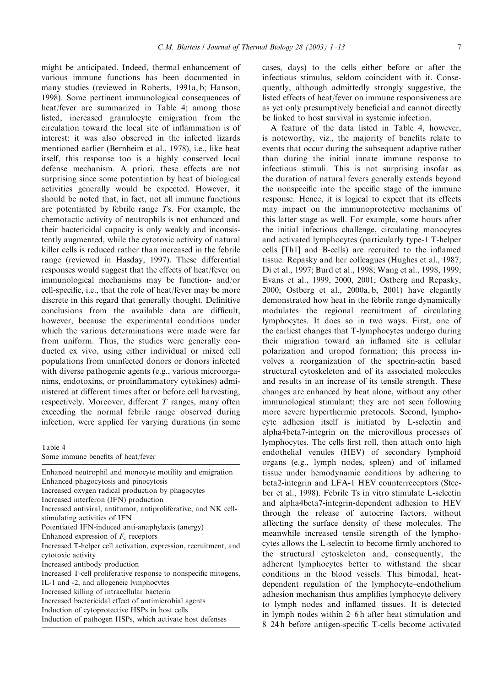might be anticipated. Indeed, thermal enhancement of various immune functions has been documented in many studies (reviewed in Roberts, 1991a, b; Hanson, 1998). Some pertinent immunological consequences of heat/fever are summarized in Table 4; among those listed, increased granulocyte emigration from the circulation toward the local site of inflammation is of interest: it was also observed in the infected lizards mentioned earlier (Bernheim et al., 1978), i.e., like heat itself, this response too is a highly conserved local defense mechanism. A priori, these effects are not surprising since some potentiation by heat of biological activities generally would be expected. However, it should be noted that, in fact, not all immune functions are potentiated by febrile range  $T_s$ . For example, the chemotactic activity of neutrophils is not enhanced and their bactericidal capacity is only weakly and inconsistently augmented,while the cytotoxic activity of natural killer cells is reduced rather than increased in the febrile range (reviewed in Hasday,1997). These differential responses would suggest that the effects of heat/fever on immunological mechanisms may be function- and/or cell-specific, i.e., that the role of heat/fever may be more discrete in this regard that generally thought. Definitive conclusions from the available data are difficult, however, because the experimental conditions under which the various determinations were made were far from uniform. Thus, the studies were generally conducted ex vivo, using either individual or mixed cell populations from uninfected donors or donors infected with diverse pathogenic agents (e.g., various microorganims, endotoxins, or proinflammatory cytokines) administered at different times after or before cell harvesting, respectively. Moreover, different  $T$  ranges, many often exceeding the normal febrile range observed during infection, were applied for varying durations (in some

Table 4 Some immune benefits of heat/fever

| Enhanced neutrophil and monocyte motility and emigration         |
|------------------------------------------------------------------|
| Enhanced phagocytosis and pinocytosis                            |
| Increased oxygen radical production by phagocytes                |
| Increased interferon (IFN) production                            |
| Increased antiviral, antitumor, antiproliferative, and NK cell-  |
| stimulating activities of IFN                                    |
| Potentiated IFN-induced anti-anaphylaxis (anergy)                |
| Enhanced expression of $F_c$ receptors                           |
| Increased T-helper cell activation, expression, recruitment, and |
| cytotoxic activity                                               |
| Increased antibody production                                    |
| Increased T-cell proliferative response to nonspecific mitogens, |
| IL-1 and -2, and allogeneic lymphocytes                          |
| Increased killing of intracellular bacteria                      |
| Increased bactericidal effect of antimicrobial agents            |
| Induction of cytoprotective HSPs in host cells                   |
| Induction of pathogen HSPs, which activate host defenses         |
|                                                                  |

cases, days) to the cells either before or after the infectious stimulus, seldom coincident with it. Consequently, although admittedly strongly suggestive, the listed effects of heat/fever on immune responsiveness are as yet only presumptively beneficial and cannot directly be linked to host survival in systemic infection.

A feature of the data listed in Table 4, however, is noteworthy, viz., the majority of benefits relate to events that occur during the subsequent adaptive rather than during the initial innate immune response to infectious stimuli. This is not surprising insofar as the duration of natural fevers generally extends beyond the nonspecific into the specific stage of the immune response. Hence, it is logical to expect that its effects may impact on the immunoprotective mechanims of this latter stage as well. For example, some hours after the initial infectious challenge, circulating monocytes and activated lymphocytes (particularly type-1 T-helper cells [Th1] and B-cells) are recruited to the inflamed tissue. Repasky and her colleagues (Hughes et al.,1987; Di et al.,1997; Burd et al.,1998; Wang et al.,1998,1999; Evans et al., 1999, 2000, 2001; Ostberg and Repasky, 2000; Ostberg et al.,2000a,b,2001) have elegantly demonstrated how heat in the febrile range dynamically modulates the regional recruitment of circulating lymphocytes. It does so in two ways. First, one of the earliest changes that T-lymphocytes undergo during their migration toward an inflamed site is cellular polarization and uropod formation; this process involves a reorganization of the spectrin-actin based structural cytoskeleton and of its associated molecules and results in an increase of its tensile strength. These changes are enhanced by heat alone, without any other immunological stimulant; they are not seen following more severe hyperthermic protocols. Second, lymphocyte adhesion itself is initiated by L-selectin and alpha4beta7-integrin on the microvillous processes of lymphocytes. The cells first roll, then attach onto high endothelial venules (HEV) of secondary lymphoid organs (e.g., lymph nodes, spleen) and of inflamed tissue under hemodynamic conditions by adhering to beta2-integrin and LFA-1 HEV counterreceptors (Steeber et al.,1998). Febrile Ts in vitro stimulate L-selectin and alpha4beta7-integrin-dependent adhesion to HEV through the release of autocrine factors, without affecting the surface density of these molecules. The meanwhile increased tensile strength of the lymphocytes allows the L-selectin to become firmly anchored to the structural cytoskeleton and, consequently, the adherent lymphocytes better to withstand the shear conditions in the blood vessels. This bimodal, heatdependent regulation of the lymphocyte–endothelium adhesion mechanism thus amplifies lymphocyte delivery to lymph nodes and inflamed tissues. It is detected in lymph nodes within 2–6 h after heat stimulation and 8–24 h before antigen-specific T-cells become activated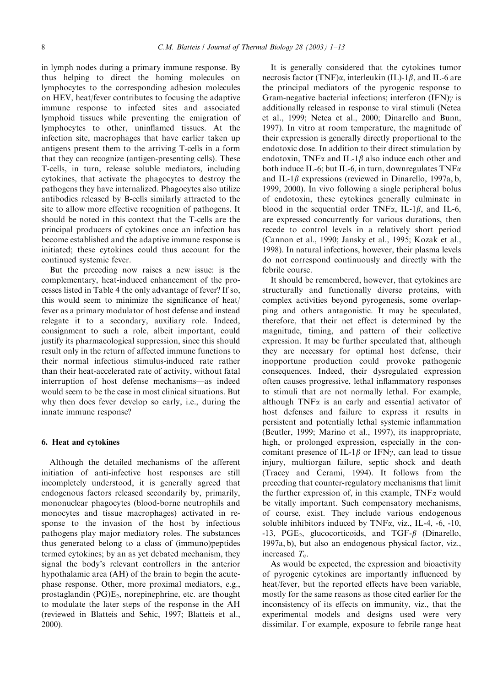in lymph nodes during a primary immune response. By thus helping to direct the homing molecules on lymphocytes to the corresponding adhesion molecules on HEV, heat/fever contributes to focusing the adaptive immune response to infected sites and associated lymphoid tissues while preventing the emigration of lymphocytes to other, uninflamed tissues. At the infection site, macrophages that have earlier taken up antigens present them to the arriving T-cells in a form that they can recognize (antigen-presenting cells). These T-cells, in turn, release soluble mediators, including cytokines, that activate the phagocytes to destroy the pathogens they have internalized. Phagocytes also utilize antibodies released by B-cells similarly attracted to the site to allow more effective recognition of pathogens. It should be noted in this context that the T-cells are the principal producers of cytokines once an infection has become established and the adaptive immune response is initiated; these cytokines could thus account for the continued systemic fever.

But the preceding now raises a new issue: is the complementary, heat-induced enhancement of the processes listed in Table 4 the only advantage of fever? If so, this would seem to minimize the significance of heat/ fever as a primary modulator of host defense and instead relegate it to a secondary, auxiliary role. Indeed, consignment to such a role, albeit important, could justify its pharmacological suppression, since this should result only in the return of affected immune functions to their normal infectious stimulus-induced rate rather than their heat-accelerated rate of activity, without fatal interruption of host defense mechanisms—as indeed would seem to be the case in most clinical situations. But why then does fever develop so early, i.e., during the innate immune response?

## 6. Heat and cytokines

Although the detailed mechanisms of the afferent initiation of anti-infective host responses are still incompletely understood, it is generally agreed that endogenous factors released secondarily by, primarily, mononuclear phagocytes (blood-borne neutrophils and monocytes and tissue macrophages) activated in response to the invasion of the host by infectious pathogens play major mediatory roles. The substances thus generated belong to a class of (immuno)peptides termed cytokines; by an as yet debated mechanism, they signal the body's relevant controllers in the anterior hypothalamic area (AH) of the brain to begin the acutephase response. Other, more proximal mediators, e.g., prostaglandin  $(PG)E_2$ , norepinephrine, etc. are thought to modulate the later steps of the response in the AH (reviewed in Blatteis and Sehic,1997; Blatteis et al., 2000).

It is generally considered that the cytokines tumor necrosis factor (TNF) $\alpha$ , interleukin (IL)-1 $\beta$ , and IL-6 are the principal mediators of the pyrogenic response to Gram-negative bacterial infections; interferon  $(IFN)$ <sup>*n*</sup> is additionally released in response to viral stimuli (Netea et al.,1999; Netea et al.,2000; Dinarello and Bunn, 1997). In vitro at room temperature, the magnitude of their expression is generally directly proportional to the endotoxic dose. In addition to their direct stimulation by endotoxin, TNF $\alpha$  and IL-1 $\beta$  also induce each other and both induce IL-6; but IL-6, in turn, downregulates  $TNF\alpha$ and IL-1 $\beta$  expressions (reviewed in Dinarello, 1997a, b, 1999,2000). In vivo following a single peripheral bolus of endotoxin, these cytokines generally culminate in blood in the sequential order TNF $\alpha$ , IL-1 $\beta$ , and IL-6, are expressed concurrently for various durations, then recede to control levels in a relatively short period (Cannon et al.,1990; Jansky et al.,1995; Kozak et al., 1998). In natural infections, however, their plasma levels do not correspond continuously and directly with the febrile course.

It should be remembered, however, that cytokines are structurally and functionally diverse proteins, with complex activities beyond pyrogenesis, some overlapping and others antagonistic. It may be speculated, therefore, that their net effect is determined by the magnitude, timing, and pattern of their collective expression. It may be further speculated that, although they are necessary for optimal host defense, their inopportune production could provoke pathogenic consequences. Indeed, their dysregulated expression often causes progressive, lethal inflammatory responses to stimuli that are not normally lethal. For example, although  $TNF\alpha$  is an early and essential activator of host defenses and failure to express it results in persistent and potentially lethal systemic inflammation (Beutler, 1999; Marino et al., 1997), its inappropriate, high, or prolonged expression, especially in the concomitant presence of IL-1 $\beta$  or IFN<sub> $\gamma$ </sub>, can lead to tissue injury, multiorgan failure, septic shock and death (Tracey and Cerami,1994). It follows from the preceding that counter-regulatory mechanisms that limit the further expression of, in this example,  $TNF\alpha$  would be vitally important. Such compensatory mechanisms, of course, exist. They include various endogenous soluble inhibitors induced by TNF $\alpha$ , viz., IL-4, -6, -10,  $-13$ , PGE<sub>2</sub>, glucocorticoids, and TGF- $\beta$  (Dinarello, 1997a,b), but also an endogenous physical factor, viz., increased  $T_c$ .

As would be expected, the expression and bioactivity of pyrogenic cytokines are importantly influenced by heat/fever, but the reported effects have been variable, mostly for the same reasons as those cited earlier for the inconsistency of its effects on immunity, viz., that the experimental models and designs used were very dissimilar. For example, exposure to febrile range heat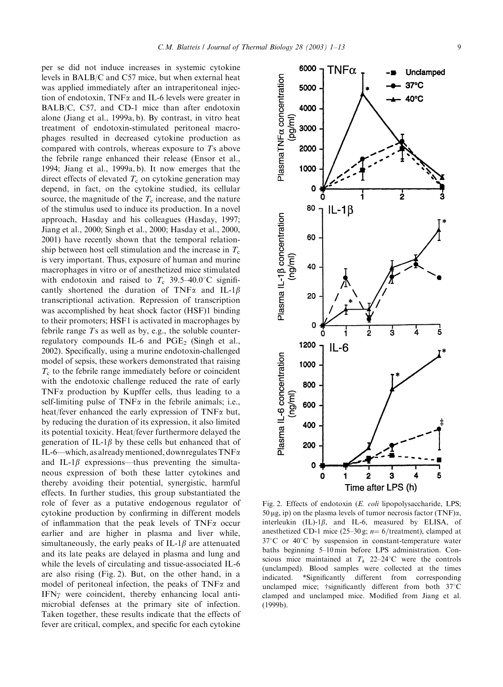per se did not induce increases in systemic cytokine levels in BALB/C and C57 mice, but when external heat was applied immediately after an intraperitoneal injection of endotoxin, TNF $\alpha$  and IL-6 levels were greater in BALB/C, C57, and CD-1 mice than after endotoxin alone (Jiang et al., 1999a, b). By contrast, in vitro heat treatment of endotoxin-stimulated peritoneal macrophages resulted in decreased cytokine production as compared with controls,whereas exposure to Ts above the febrile range enhanced their release (Ensor et al., 1994; Jiang et al.,1999a,b). It now emerges that the direct effects of elevated  $T_c$  on cytokine generation may depend, in fact, on the cytokine studied, its cellular source, the magnitude of the  $T_c$  increase, and the nature of the stimulus used to induce its production. In a novel approach, Hasday and his colleagues (Hasday, 1997; Jiang et al.,2000; Singh et al.,2000; Hasday et al.,2000, 2001) have recently shown that the temporal relationship between host cell stimulation and the increase in  $T_c$ is very important. Thus, exposure of human and murine macrophages in vitro or of anesthetized mice stimulated with endotoxin and raised to  $T_c$  39.5–40.0°C significantly shortened the duration of TNF $\alpha$  and IL-1 $\beta$ transcriptional activation. Repression of transcription was accomplished by heat shock factor (HSF)1 binding to their promoters; HSF1 is activated in macrophages by febrile range  $T$ s as well as by, e.g., the soluble counterregulatory compounds IL-6 and  $PGE_2$  (Singh et al., 2002). Specifically, using a murine endotoxin-challenged model of sepsis, these workers demonstrated that raising  $T<sub>c</sub>$  to the febrile range immediately before or coincident with the endotoxic challenge reduced the rate of early TNF $\alpha$  production by Kupffer cells, thus leading to a self-limiting pulse of  $TNF\alpha$  in the febrile animals; i.e., heat/fever enhanced the early expression of  $TNF\alpha$  but, by reducing the duration of its expression, it also limited its potential toxicity. Heat/fever furthermore delayed the generation of IL-1 $\beta$  by these cells but enhanced that of IL-6—which, as already mentioned, downregulates  $TNF\alpha$ and IL-1 $\beta$  expressions—thus preventing the simultaneous expression of both these latter cytokines and thereby avoiding their potential, synergistic, harmful effects. In further studies, this group substantiated the role of fever as a putative endogenous regulator of cytokine production by confirming in different models of inflammation that the peak levels of  $TNF\alpha$  occur earlier and are higher in plasma and liver while, simultaneously, the early peaks of IL-1 $\beta$  are attenuated and its late peaks are delayed in plasma and lung and while the levels of circulating and tissue-associated IL-6 are also rising  $(Fig. 2)$ . But, on the other hand, in a model of peritoneal infection, the peaks of  $TNF\alpha$  and  $IFN<sub>Y</sub>$  were coincident, thereby enhancing local antimicrobial defenses at the primary site of infection. Taken together, these results indicate that the effects of fever are critical, complex, and specific for each cytokine

20  $\mathbf 0$ ż έ Ś À 1200  $IL-6$ Plasma IL-6 concentration 1000 800  $(nq/ml)$ 600 400 200  $\mathbf 0$  $\overline{2}$ 3  $\ddot{\mathbf{O}}$ 4 5 1 Time after LPS (h) Fig. 2. Effects of endotoxin  $(E. \; coll$  lipopolysaccharide, LPS;  $50 \,\mu$ g, ip) on the plasma levels of tumor necrosis factor (TNF) $\alpha$ , interleukin (IL)-1 $\beta$ , and IL-6, measured by ELISA, of anesthetized CD-1 mice (25–30 g;  $n=6$ /treatment), clamped at  $37^{\circ}$ C or  $40^{\circ}$ C by suspension in constant-temperature water baths beginning 5–10 min before LPS administration. Conscious mice maintained at  $T_a$  22–24°C were the controls (unclamped). Blood samples were collected at the times indicated. \*Significantly different from corresponding unclamped mice;  $\dagger$ significantly different from both 37°C clamped and unclamped mice. Modified from Jiang et al. (1999b).

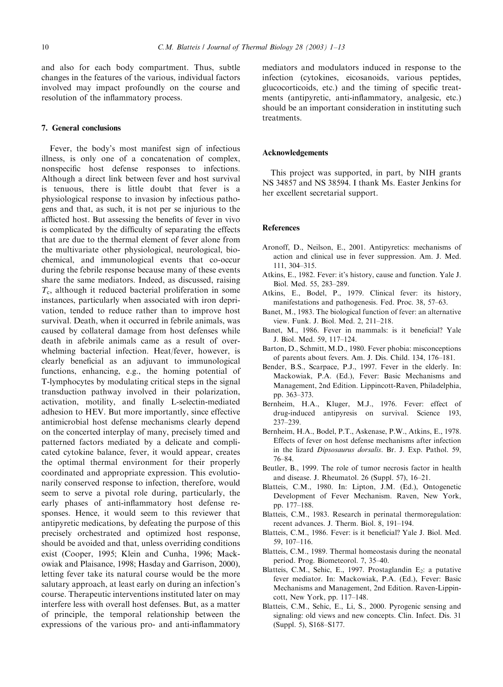and also for each body compartment. Thus, subtle changes in the features of the various, individual factors involved may impact profoundly on the course and resolution of the inflammatory process.

#### 7. General conclusions

Fever, the body's most manifest sign of infectious illness, is only one of a concatenation of complex, nonspecific host defense responses to infections. Although a direct link between fever and host survival is tenuous, there is little doubt that fever is a physiological response to invasion by infectious pathogens and that, as such, it is not per se injurious to the afflicted host. But assessing the benefits of fever in vivo is complicated by the difficulty of separating the effects that are due to the thermal element of fever alone from the multivariate other physiological, neurological, biochemical, and immunological events that co-occur during the febrile response because many of these events share the same mediators. Indeed, as discussed, raising  $T_c$ , although it reduced bacterial proliferation in some instances, particularly when associated with iron deprivation, tended to reduce rather than to improve host survival. Death, when it occurred in febrile animals, was caused by collateral damage from host defenses while death in afebrile animals came as a result of overwhelming bacterial infection. Heat/fever, however, is clearly beneficial as an adjuvant to immunological functions, enhancing, e.g., the homing potential of T-lymphocytes by modulating critical steps in the signal transduction pathway involved in their polarization, activation, motility, and finally L-selectin-mediated adhesion to HEV. But more importantly, since effective antimicrobial host defense mechanisms clearly depend on the concerted interplay of many, precisely timed and patterned factors mediated by a delicate and complicated cytokine balance, fever, it would appear, creates the optimal thermal environment for their properly coordinated and appropriate expression. This evolutionarily conserved response to infection, therefore, would seem to serve a pivotal role during, particularly, the early phases of anti-inflammatory host defense responses. Hence, it would seem to this reviewer that antipyretic medications, by defeating the purpose of this precisely orchestrated and optimized host response, should be avoided and that, unless overriding conditions exist (Cooper, 1995; Klein and Cunha, 1996; Mackowiak and Plaisance,1998; Hasday and Garrison,2000), letting fever take its natural course would be the more salutary approach, at least early on during an infection's course. Therapeutic interventions instituted later on may interfere less with overall host defenses. But, as a matter of principle, the temporal relationship between the expressions of the various pro- and anti-inflammatory

mediators and modulators induced in response to the infection (cytokines, eicosanoids, various peptides, glucocorticoids, etc.) and the timing of specific treatments (antipyretic, anti-inflammatory, analgesic, etc.) should be an important consideration in instituting such treatments.

#### Acknowledgements

This project was supported, in part, by NIH grants NS 34857 and NS 38594. I thank Ms. Easter Jenkins for her excellent secretarial support.

# References

- Aronoff, D., Neilson, E., 2001. Antipyretics: mechanisms of action and clinical use in fever suppression. Am. J. Med. 111,304–315.
- Atkins, E., 1982. Fever: it's history, cause and function. Yale J. Biol. Med. 55,283–289.
- Atkins, E., Bodel, P., 1979. Clinical fever: its history, manifestations and pathogenesis. Fed. Proc. 38,57–63.
- Banet, M., 1983. The biological function of fever: an alternative view. Funk. J. Biol. Med. 2,211–218.
- Banet, M., 1986. Fever in mammals: is it beneficial? Yale J. Biol. Med. 59,117–124.
- Barton, D., Schmitt, M.D., 1980. Fever phobia: misconceptions of parents about fevers. Am. J. Dis. Child. 134,176–181.
- Bender, B.S., Scarpace, P.J., 1997. Fever in the elderly. In: Mackowiak, P.A. (Ed.), Fever: Basic Mechanisms and Management, 2nd Edition. Lippincott-Raven, Philadelphia, pp. 363–373.
- Bernheim, H.A., Kluger, M.J., 1976. Fever: effect of drug-induced antipyresis on survival. Science 193, 237–239.
- Bernheim, H.A., Bodel, P.T., Askenase, P.W., Atkins, E., 1978. Effects of fever on host defense mechanisms after infection in the lizard Dipsosaurus dorsalis. Br. J. Exp. Pathol. 59, 76–84.
- Beutler, B., 1999. The role of tumor necrosis factor in health and disease. J. Rheumatol. 26 (Suppl. 57),16–21.
- Blatteis, C.M., 1980. In: Lipton, J.M. (Ed.), Ontogenetic Development of Fever Mechanism. Raven, New York, pp. 177–188.
- Blatteis, C.M., 1983. Research in perinatal thermoregulation: recent advances. J. Therm. Biol. 8,191–194.
- Blatteis, C.M., 1986. Fever: is it beneficial? Yale J. Biol. Med. 59,107–116.
- Blatteis, C.M., 1989. Thermal homeostasis during the neonatal period. Prog. Biometeorol. 7,35–40.
- Blatteis, C.M., Sehic, E., 1997. Prostaglandin E<sub>2</sub>: a putative fever mediator. In: Mackowiak, P.A. (Ed.), Fever: Basic Mechanisms and Management,2nd Edition. Raven-Lippincott, New York, pp. 117–148.
- Blatteis, C.M., Sehic, E., Li, S., 2000. Pyrogenic sensing and signaling: old views and new concepts. Clin. Infect. Dis. 31 (Suppl. 5), S168–S177.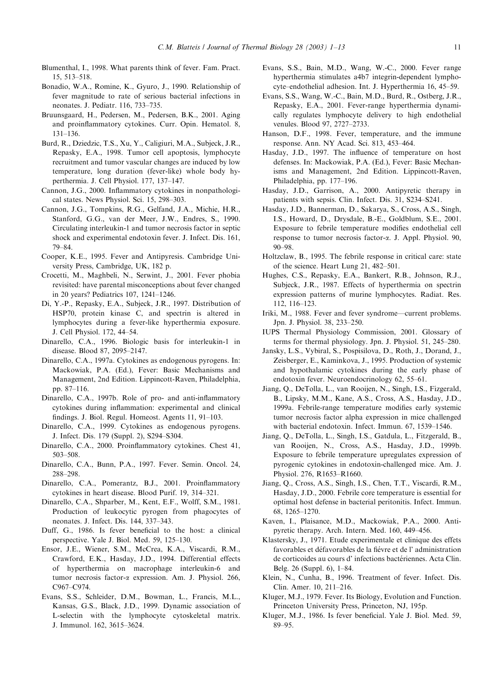- Blumenthal, I., 1998. What parents think of fever. Fam. Pract. 15,513–518.
- Bonadio, W.A., Romine, K., Gyuro, J., 1990. Relationship of fever magnitude to rate of serious bacterial infections in neonates. J. Pediatr. 116,733–735.
- Bruunsgaard, H., Pedersen, M., Pedersen, B.K., 2001. Aging and proinflammatory cytokines. Curr. Opin. Hematol. 8, 131–136.
- Burd,R.,Dziedzic,T.S.,Xu,Y.,Caligiuri,M.A.,Subjeck,J.R., Repasky, E.A., 1998. Tumor cell apoptosis, lymphocyte recruitment and tumor vascular changes are induced by low temperature, long duration (fever-like) whole body hyperthermia. J. Cell Physiol. 177,137–147.
- Cannon, J.G., 2000. Inflammatory cytokines in nonpathological states. News Physiol. Sci. 15,298–303.
- Cannon, J.G., Tompkins, R.G., Gelfand, J.A., Michie, H.R., Stanford, G.G., van der Meer, J.W., Endres, S., 1990. Circulating interleukin-1 and tumor necrosis factor in septic shock and experimental endotoxin fever. J. Infect. Dis. 161, 79–84.
- Cooper, K.E., 1995. Fever and Antipyresis. Cambridge University Press, Cambridge, UK, 182 p.
- Crocetti, M., Maghbeli, N., Serwint, J., 2001. Fever phobia revisited: have parental misconceptions about fever changed in 20 years? Pediatrics 107,1241–1246.
- Di, Y.-P., Repasky, E.A., Subjeck, J.R., 1997. Distribution of HSP70, protein kinase C, and spectrin is altered in lymphocytes during a fever-like hyperthermia exposure. J. Cell Physiol. 172,44–54.
- Dinarello, C.A., 1996. Biologic basis for interleukin-1 in disease. Blood 87,2095–2147.
- Dinarello, C.A., 1997a. Cytokines as endogenous pyrogens. In: Mackowiak, P.A. (Ed.), Fever: Basic Mechanisms and Management, 2nd Edition. Lippincott-Raven, Philadelphia, pp. 87–116.
- Dinarello, C.A., 1997b. Role of pro- and anti-inflammatory cytokines during inflammation: experimental and clinical findings. J. Biol. Regul. Homeost. Agents 11, 91–103.
- Dinarello, C.A., 1999. Cytokines as endogenous pyrogens. J. Infect. Dis. 179 (Suppl. 2), S294–S304.
- Dinarello, C.A., 2000. Proinflammatory cytokines. Chest 41, 503–508.
- Dinarello, C.A., Bunn, P.A., 1997. Fever. Semin. Oncol. 24, 288–298.
- Dinarello, C.A., Pomerantz, B.J., 2001. Proinflammatory cytokines in heart disease. Blood Purif. 19,314–321.
- Dinarello, C.A., Shparber, M., Kent, E.F., Wolff, S.M., 1981. Production of leukocytic pyrogen from phagocytes of neonates. J. Infect. Dis. 144,337–343.
- Duff, G., 1986. Is fever beneficial to the host: a clinical perspective. Yale J. Biol. Med. 59,125–130.
- Ensor, J.E., Wiener, S.M., McCrea, K.A., Viscardi, R.M., Crawford, E.K., Hasday, J.D., 1994. Differential effects of hyperthermia on macrophage interleukin-6 and tumor necrosis factor-a expression. Am. J. Physiol. 266, C967–C974.
- Evans, S.S., Schleider, D.M., Bowman, L., Francis, M.L., Kansas, G.S., Black, J.D., 1999. Dynamic association of L-selectin with the lymphocyte cytoskeletal matrix. J. Immunol. 162,3615–3624.
- Evans, S.S., Bain, M.D., Wang, W.-C., 2000. Fever range hyperthermia stimulates a4b7 integrin-dependent lymphocyte–endothelial adhesion. Int. J. Hyperthermia 16,45–59.
- Evans, S.S., Wang, W.-C., Bain, M.D., Burd, R., Ostberg, J.R., Repasky,E.A.,2001. Fever-range hyperthermia dynamically regulates lymphocyte delivery to high endothelial venules. Blood 97, 2727-2733.
- Hanson, D.F., 1998. Fever, temperature, and the immune response. Ann. NY Acad. Sci. 813,453–464.
- Hasday, J.D., 1997. The influence of temperature on host defenses. In: Mackowiak, P.A. (Ed.), Fever: Basic Mechanisms and Management, 2nd Edition. Lippincott-Raven, Philadelphia, pp. 177–196.
- Hasday, J.D., Garrison, A., 2000. Antipyretic therapy in patients with sepsis. Clin. Infect. Dis. 31, S234–S241.
- Hasday, J.D., Bannerman, D., Sakarya, S., Cross, A.S., Singh, I.S., Howard, D., Drysdale, B.-E., Goldblum, S.E., 2001. Exposure to febrile temperature modifies endothelial cell response to tumor necrosis factor-a. J. Appl. Physiol. 90, 90–98.
- Holtzclaw,B.,1995. The febrile response in critical care: state of the science. Heart Lung 21,482–501.
- Hughes, C.S., Repasky, E.A., Bankert, R.B., Johnson, R.J., Subjeck, J.R., 1987. Effects of hyperthermia on spectrin expression patterns of murine lymphocytes. Radiat. Res. 112,116–123.
- Iriki, M., 1988. Fever and fever syndrome—current problems. Jpn. J. Physiol. 38,233–250.
- IUPS Thermal Physiology Commission,2001. Glossary of terms for thermal physiology. Jpn. J. Physiol. 51,245–280.
- Jansky, L.S., Vybiral, S., Pospisilova, D., Roth, J., Dorand, J., Zeisberger, E., Kaminkova, J., 1995. Production of systemic and hypothalamic cytokines during the early phase of endotoxin fever. Neuroendocrinology 62,55–61.
- Jiang, Q., DeTolla, L., van Rooijen, N., Singh, I.S., Fizgerald, B., Lipsky, M.M., Kane, A.S., Cross, A.S., Hasday, J.D., 1999a. Febrile-range temperature modifies early systemic tumor necrosis factor alpha expression in mice challenged with bacterial endotoxin. Infect. Immun. 67,1539–1546.
- Jiang, Q., DeTolla, L., Singh, I.S., Gatdula, L., Fitzgerald, B., van Rooijen, N., Cross, A.S., Hasday, J.D., 1999b. Exposure to febrile temperature upregulates expression of pyrogenic cytokines in endotoxin-challenged mice. Am. J. Physiol. 276, R1653-R1660.
- Jiang, Q., Cross, A.S., Singh, I.S., Chen, T.T., Viscardi, R.M., Hasday,J.D.,2000. Febrile core temperature is essential for optimal host defense in bacterial peritonitis. Infect. Immun. 68,1265–1270.
- Kaven, I., Plaisance, M.D., Mackowiak, P.A., 2000. Antipyretic therapy. Arch. Intern. Med. 160,449–456.
- Klastersky,J.,1971. Etude experimentale et clinique des effets favorables et défavorables de la fiévre et de l'administration de corticoides au cours d'infections bactériennes. Acta Clin. Belg. 26 (Suppl. 6),1–84.
- Klein, N., Cunha, B., 1996. Treatment of fever. Infect. Dis. Clin. Amer. 10,211–216.
- Kluger, M.J., 1979. Fever. Its Biology, Evolution and Function. Princeton University Press, Princeton, NJ, 195p.
- Kluger, M.J., 1986. Is fever beneficial. Yale J. Biol. Med. 59, 89–95.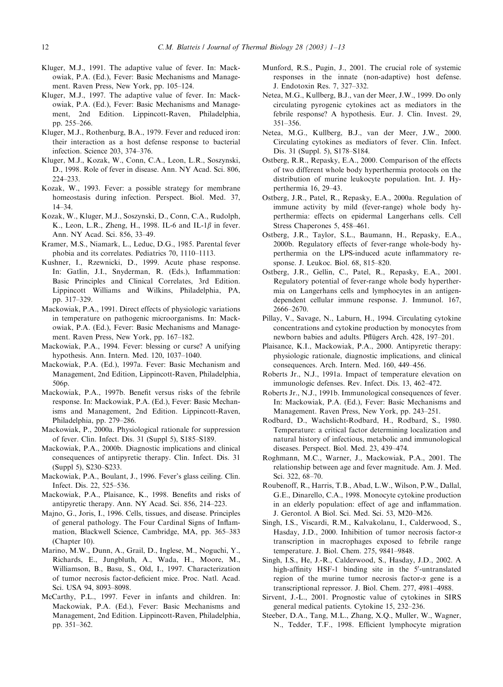- Kluger, M.J., 1991. The adaptive value of fever. In: Mackowiak, P.A. (Ed.), Fever: Basic Mechanisms and Management. Raven Press, New York, pp. 105–124.
- Kluger, M.J., 1997. The adaptive value of fever. In: Mackowiak, P.A. (Ed.), Fever: Basic Mechanisms and Management, 2nd Edition. Lippincott-Raven, Philadelphia, pp. 255–266.
- Kluger, M.J., Rothenburg, B.A., 1979. Fever and reduced iron: their interaction as a host defense response to bacterial infection. Science 203,374–376.
- Kluger, M.J., Kozak, W., Conn, C.A., Leon, L.R., Soszynski, D.,1998. Role of fever in disease. Ann. NY Acad. Sci. 806, 224–233.
- Kozak,W.,1993. Fever: a possible strategy for membrane homeostasis during infection. Perspect. Biol. Med. 37, 14–34.
- Kozak,W.,Kluger,M.J.,Soszynski,D.,Conn,C.A.,Rudolph, K., Leon, L.R., Zheng, H., 1998. IL-6 and IL-1 $\beta$  in fever. Ann. NY Acad. Sci. 856,33–49.
- Kramer, M.S., Niamark, L., Leduc, D.G., 1985. Parental fever phobia and its correlates. Pediatrics 70,1110–1113.
- Kushner, I., Rzewnicki, D., 1999. Acute phase response. In: Gatlin, J.I., Snyderman, R. (Eds.), Inflammation: Basic Principles and Clinical Correlates, 3rd Edition. Lippincott Williams and Wilkins, Philadelphia, PA, pp. 317–329.
- Mackowiak,P.A.,1991. Direct effects of physiologic variations in temperature on pathogenic microorganisms. In: Mackowiak, P.A. (Ed.), Fever: Basic Mechanisms and Management. Raven Press, New York, pp. 167-182.
- Mackowiak,P.A.,1994. Fever: blessing or curse? A unifying hypothesis. Ann. Intern. Med. 120,1037–1040.
- Mackowiak,P.A. (Ed.),1997a. Fever: Basic Mechanism and Management, 2nd Edition, Lippincott-Raven, Philadelphia, 506p.
- Mackowiak,P.A.,1997b. Benefit versus risks of the febrile response. In: Mackowiak, P.A. (Ed.), Fever: Basic Mechanisms and Management, 2nd Edition. Lippincott-Raven, Philadelphia, pp. 279–286.
- Mackowiak,P.,2000a. Physiological rationale for suppression of fever. Clin. Infect. Dis. 31 (Suppl 5), S185–S189.
- Mackowiak,P.A.,2000b. Diagnostic implications and clinical consequences of antipyretic therapy. Clin. Infect. Dis. 31 (Suppl 5), S230–S233.
- Mackowiak,P.A.,Boulant,J.,1996. Fever's glass ceiling. Clin. Infect. Dis. 22, 525–536.
- Mackowiak, P.A., Plaisance, K., 1998. Benefits and risks of antipyretic therapy. Ann. NY Acad. Sci. 856,214–223.
- Majno, G., Joris, I., 1996. Cells, tissues, and disease. Principles of general pathology. The Four Cardinal Signs of Inflammation, Blackwell Science, Cambridge, MA, pp. 365–383 (Chapter 10).
- Marino, M.W., Dunn, A., Grail, D., Inglese, M., Noguchi, Y., Richards, E., Jungbluth, A., Wada, H., Moore, M., Williamson, B., Basu, S., Old, I., 1997. Characterization of tumor necrosis factor-deficient mice. Proc. Natl. Acad. Sci. USA 94, 8093-8098.
- McCarthy, P.L., 1997. Fever in infants and children. In: Mackowiak, P.A. (Ed.), Fever: Basic Mechanisms and Management, 2nd Edition. Lippincott-Raven, Philadelphia, pp. 351–362.
- Munford, R.S., Pugin, J., 2001. The crucial role of systemic responses in the innate (non-adaptive) host defense. J. Endotoxin Res. 7,327–332.
- Netea, M.G., Kullberg, B.J., van der Meer, J.W., 1999. Do only circulating pyrogenic cytokines act as mediators in the febrile response? A hypothesis. Eur. J. Clin. Invest. 29, 351–356.
- Netea, M.G., Kullberg, B.J., van der Meer, J.W., 2000. Circulating cytokines as mediators of fever. Clin. Infect. Dis. 31 (Suppl. 5), S178–S184.
- Ostberg, R.R., Repasky, E.A., 2000. Comparison of the effects of two different whole body hyperthermia protocols on the distribution of murine leukocyte population. Int. J. Hyperthermia 16,29–43.
- Ostberg, J.R., Patel, R., Repasky, E.A., 2000a. Regulation of immune activity by mild (fever-range) whole body hyperthermia: effects on epidermal Langerhans cells. Cell Stress Chaperones 5,458–461.
- Ostberg, J.R., Taylor, S.L., Baumann, H., Repasky, E.A., 2000b. Regulatory effects of fever-range whole-body hyperthermia on the LPS-induced acute inflammatory response. J. Leukoc. Biol. 68,815–820.
- Ostberg, J.R., Gellin, C., Patel, R., Repasky, E.A., 2001. Regulatory potential of fever-range whole body hyperthermia on Langerhans cells and lymphocytes in an antigendependent cellular immune response. J. Immunol. 167, 2666–2670.
- Pillay, V., Savage, N., Laburn, H., 1994. Circulating cytokine concentrations and cytokine production by monocytes from newborn babies and adults. Pflügers Arch. 428, 197-201.
- Plaisance, K.I., Mackowiak, P.A., 2000. Antipyretic therapy: physiologic rationale, diagnostic implications, and clinical consequences. Arch. Intern. Med. 160,449–456.
- Roberts Jr., N.J., 1991a. Impact of temperature elevation on immunologic defenses. Rev. Infect. Dis. 13,462–472.
- Roberts Jr., N.J., 1991b. Immunological consequences of fever. In: Mackowiak, P.A. (Ed.), Fever: Basic Mechanisms and Management. Raven Press, New York, pp. 243-251.
- Rodbard, D., Wachslicht-Rodbard, H., Rodbard, S., 1980. Temperature: a critical factor determining localization and natural history of infectious, metabolic and immunological diseases. Perspect. Biol. Med. 23,439–474.
- Roghmann, M.C., Warner, J., Mackowiak, P.A., 2001. The relationship between age and fever magnitude. Am. J. Med. Sci. 322, 68-70.
- Roubenoff, R., Harris, T.B., Abad, L.W., Wilson, P.W., Dallal, G.E.,Dinarello,C.A.,1998. Monocyte cytokine production in an elderly population: effect of age and inflammation. J. Gerontol. A Biol. Sci. Med. Sci. 53, M20-M26.
- Singh, I.S., Viscardi, R.M., Kalvakolanu, I., Calderwood, S., Hasday, J.D., 2000. Inhibition of tumor necrosis factor- $\alpha$ transcription in macrophages exposed to febrile range temperature. J. Biol. Chem. 275,9841–9848.
- Singh, I.S., He, J.-R., Calderwood, S., Hasday, J.D., 2002. A high-affinity HSF-1 binding site in the 5'-untranslated region of the murine tumor necrosis factor- $\alpha$  gene is a transcriptional repressor. J. Biol. Chem. 277,4981–4988.
- Sirvent, J.-L., 2001. Prognostic value of cytokines in SIRS general medical patients. Cytokine 15,232–236.
- Steeber, D.A., Tang, M.L., Zhang, X.Q., Muller, W., Wagner, N., Tedder, T.F., 1998. Efficient lymphocyte migration